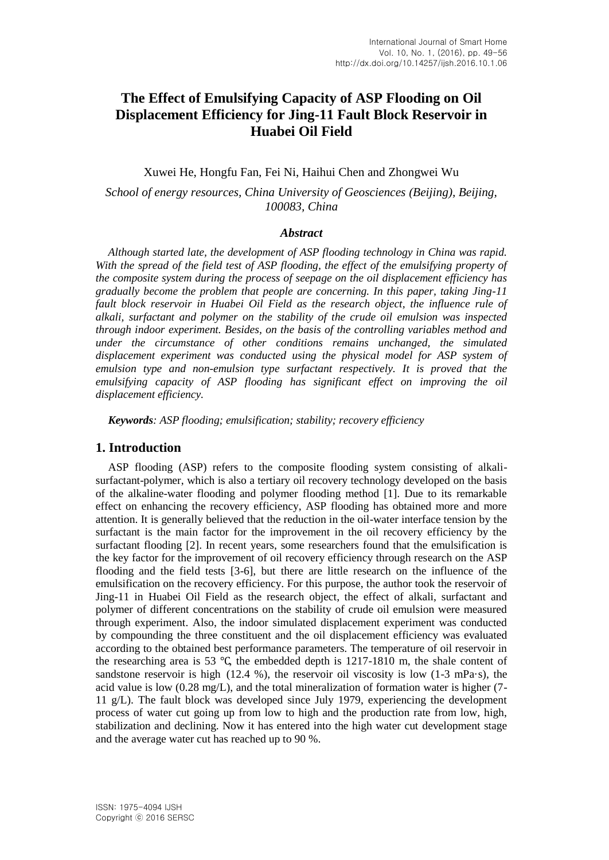# **The Effect of Emulsifying Capacity of ASP Flooding on Oil Displacement Efficiency for Jing-11 Fault Block Reservoir in Huabei Oil Field**

Xuwei He, Hongfu Fan, Fei Ni, Haihui Chen and Zhongwei Wu

*School of energy resources, China University of Geosciences (Beijing), Beijing, 100083, China*

#### *Abstract*

*Although started late, the development of ASP flooding technology in China was rapid.*  With the spread of the field test of ASP flooding, the effect of the emulsifying property of *the composite system during the process of seepage on the oil displacement efficiency has gradually become the problem that people are concerning. In this paper, taking Jing-11 fault block reservoir in Huabei Oil Field as the research object, the influence rule of alkali, surfactant and polymer on the stability of the crude oil emulsion was inspected through indoor experiment. Besides, on the basis of the controlling variables method and under the circumstance of other conditions remains unchanged, the simulated displacement experiment was conducted using the physical model for ASP system of emulsion type and non-emulsion type surfactant respectively. It is proved that the emulsifying capacity of ASP flooding has significant effect on improving the oil displacement efficiency.*

*Keywords: ASP flooding; emulsification; stability; recovery efficiency*

## **1. Introduction**

ASP flooding (ASP) refers to the composite flooding system consisting of alkalisurfactant-polymer, which is also a tertiary oil recovery technology developed on the basis of the alkaline-water flooding and polymer flooding method [1]. Due to its remarkable effect on enhancing the recovery efficiency, ASP flooding has obtained more and more attention. It is generally believed that the reduction in the oil-water interface tension by the surfactant is the main factor for the improvement in the oil recovery efficiency by the surfactant flooding [2]. In recent years, some researchers found that the emulsification is the key factor for the improvement of oil recovery efficiency through research on the ASP flooding and the field tests [3-6], but there are little research on the influence of the emulsification on the recovery efficiency. For this purpose, the author took the reservoir of Jing-11 in Huabei Oil Field as the research object, the effect of alkali, surfactant and polymer of different concentrations on the stability of crude oil emulsion were measured through experiment. Also, the indoor simulated displacement experiment was conducted by compounding the three constituent and the oil displacement efficiency was evaluated according to the obtained best performance parameters. The temperature of oil reservoir in the researching area is 53 ℃, the embedded depth is 1217-1810 m, the shale content of sandstone reservoir is high  $(12.4 \%)$ , the reservoir oil viscosity is low  $(1-3 \text{ mPa}\cdot\text{s})$ , the acid value is low (0.28 mg/L), and the total mineralization of formation water is higher (7- 11 g/L). The fault block was developed since July 1979, experiencing the development process of water cut going up from low to high and the production rate from low, high, stabilization and declining. Now it has entered into the high water cut development stage and the average water cut has reached up to 90 %.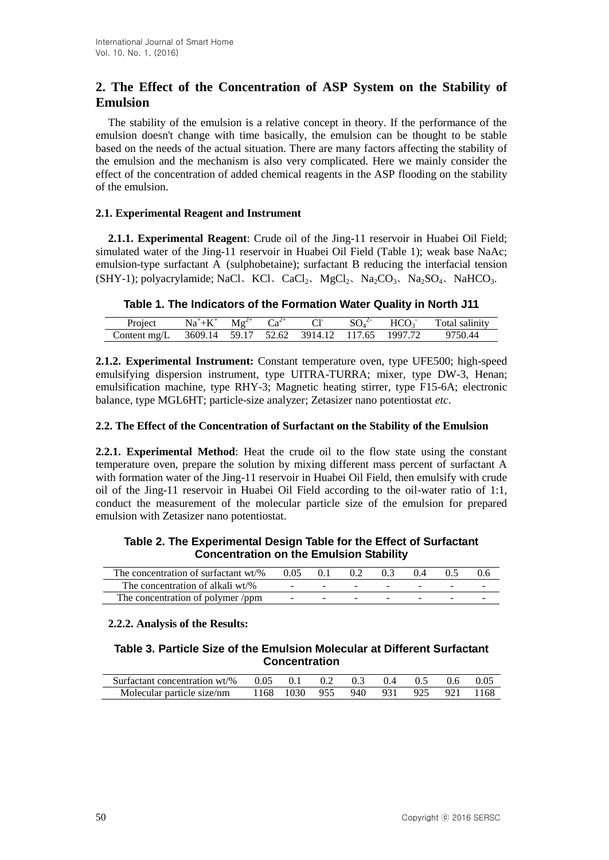## **2. The Effect of the Concentration of ASP System on the Stability of Emulsion**

The stability of the emulsion is a relative concept in theory. If the performance of the emulsion doesn't change with time basically, the emulsion can be thought to be stable based on the needs of the actual situation. There are many factors affecting the stability of the emulsion and the mechanism is also very complicated. Here we mainly consider the effect of the concentration of added chemical reagents in the ASP flooding on the stability of the emulsion.

## **2.1. Experimental Reagent and Instrument**

**2.1.1. Experimental Reagent**: Crude oil of the Jing-11 reservoir in Huabei Oil Field; simulated water of the Jing-11 reservoir in Huabei Oil Field (Table 1); weak base NaAc; emulsion-type surfactant A (sulphobetaine); surfactant B reducing the interfacial tension (SHY-1); polyacrylamide; NaCl、KCl、CaCl<sub>2</sub>、MgCl<sub>2</sub>、Na<sub>2</sub>CO<sub>3</sub>、Na<sub>2</sub>SO<sub>4</sub>、NaHCO<sub>3</sub>.

|  |  |  | Table 1. The Indicators of the Formation Water Quality in North J11 |  |  |
|--|--|--|---------------------------------------------------------------------|--|--|
|--|--|--|---------------------------------------------------------------------|--|--|

| Project        | $Na^+ + K^+$                               | $Mg^{2+}$ |  | $SO_4^2$ | HCO <sub>3</sub> | Total salinity |
|----------------|--------------------------------------------|-----------|--|----------|------------------|----------------|
| Content $mg/L$ | 3609.14 59.17 52.62 3914.12 117.65 1997.72 |           |  |          |                  | 9750.44        |

**2.1.2. Experimental Instrument:** Constant temperature oven, type UFE500; high-speed emulsifying dispersion instrument, type UITRA-TURRA; mixer, type DW-3, Henan; emulsification machine, type RHY-3; Magnetic heating stirrer, type F15-6A; electronic balance, type MGL6HT; particle-size analyzer; Zetasizer nano potentiostat *etc*.

## **2.2. The Effect of the Concentration of Surfactant on the Stability of the Emulsion**

**2.2.1. Experimental Method**: Heat the crude oil to the flow state using the constant temperature oven, prepare the solution by mixing different mass percent of surfactant A with formation water of the Jing-11 reservoir in Huabei Oil Field, then emulsify with crude oil of the Jing-11 reservoir in Huabei Oil Field according to the oil-water ratio of 1:1, conduct the measurement of the molecular particle size of the emulsion for prepared emulsion with Zetasizer nano potentiostat.

## **Table 2. The Experimental Design Table for the Effect of Surfactant Concentration on the Emulsion Stability**

| The concentration of surfactant wt/% | 0.05 |  |        |  |  |
|--------------------------------------|------|--|--------|--|--|
| The concentration of alkali wt/%     |      |  |        |  |  |
| The concentration of polymer/ppm     |      |  | $\sim$ |  |  |

## **2.2.2. Analysis of the Results:**

## **Table 3. Particle Size of the Emulsion Molecular at Different Surfactant Concentration**

| Surfactant concentration $wt\%$ 0.05 0.1 |                               | $0.2$ $0.3$ $0.4$ $0.5$ |  | - 0.6 | -0.05 |
|------------------------------------------|-------------------------------|-------------------------|--|-------|-------|
| Molecular particle size/nm               | 1168 1030 955 940 931 925 921 |                         |  |       | -1168 |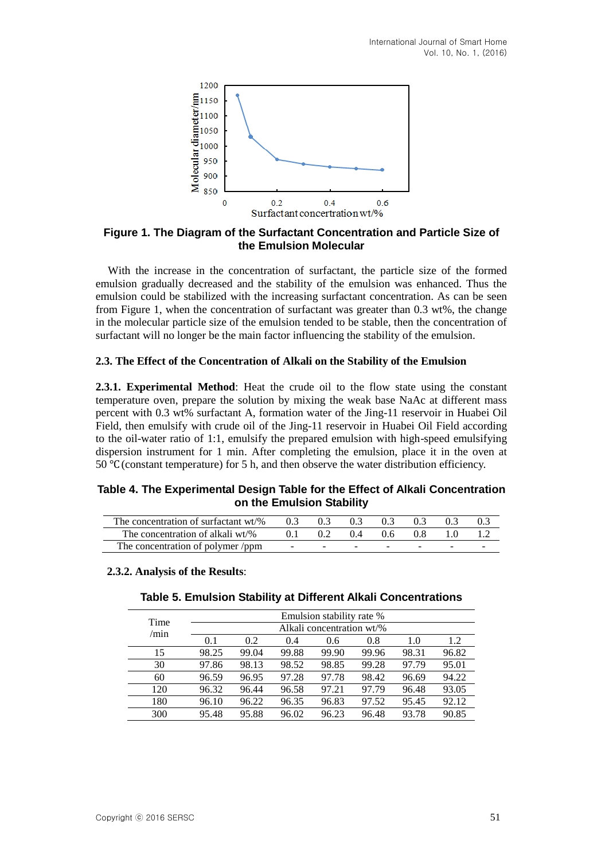

**Figure 1. The Diagram of the Surfactant Concentration and Particle Size of the Emulsion Molecular**

With the increase in the concentration of surfactant, the particle size of the formed emulsion gradually decreased and the stability of the emulsion was enhanced. Thus the emulsion could be stabilized with the increasing surfactant concentration. As can be seen from Figure 1, when the concentration of surfactant was greater than 0.3 wt%, the change in the molecular particle size of the emulsion tended to be stable, then the concentration of surfactant will no longer be the main factor influencing the stability of the emulsion.

## **2.3. The Effect of the Concentration of Alkali on the Stability of the Emulsion**

**2.3.1. Experimental Method**: Heat the crude oil to the flow state using the constant temperature oven, prepare the solution by mixing the weak base NaAc at different mass percent with 0.3 wt% surfactant A, formation water of the Jing-11 reservoir in Huabei Oil Field, then emulsify with crude oil of the Jing-11 reservoir in Huabei Oil Field according to the oil-water ratio of 1:1, emulsify the prepared emulsion with high-speed emulsifying dispersion instrument for 1 min. After completing the emulsion, place it in the oven at 50 ℃(constant temperature) for 5 h, and then observe the water distribution efficiency.

## **Table 4. The Experimental Design Table for the Effect of Alkali Concentration on the Emulsion Stability**

| The concentration of surfactant wt/% | 0.3    | 0.3    | 0.3    | 0.3    | 0.3 | 0.3 | 0.3 |
|--------------------------------------|--------|--------|--------|--------|-----|-----|-----|
| The concentration of alkali wt/%     | 0.1    | 0.2    | 0.4    | 0.6    | 0.8 |     |     |
| The concentration of polymer/ppm     | $\sim$ | $\sim$ | $\sim$ | $\sim$ |     |     |     |

**2.3.2. Analysis of the Results**:

## **Table 5. Emulsion Stability at Different Alkali Concentrations**

| Time |       |                           |       | Emulsion stability rate % |       |       |       |  |  |  |
|------|-------|---------------------------|-------|---------------------------|-------|-------|-------|--|--|--|
| /min |       | Alkali concentration wt/% |       |                           |       |       |       |  |  |  |
|      | 0.1   | 0.2                       | 0.4   | 0.6                       | 0.8   | 1.0   | 1.2   |  |  |  |
| 15   | 98.25 | 99.04                     | 99.88 | 99.90                     | 99.96 | 98.31 | 96.82 |  |  |  |
| 30   | 97.86 | 98.13                     | 98.52 | 98.85                     | 99.28 | 97.79 | 95.01 |  |  |  |
| 60   | 96.59 | 96.95                     | 97.28 | 97.78                     | 98.42 | 96.69 | 94.22 |  |  |  |
| 120  | 96.32 | 96.44                     | 96.58 | 97.21                     | 97.79 | 96.48 | 93.05 |  |  |  |
| 180  | 96.10 | 96.22                     | 96.35 | 96.83                     | 97.52 | 95.45 | 92.12 |  |  |  |
| 300  | 95.48 | 95.88                     | 96.02 | 96.23                     | 96.48 | 93.78 | 90.85 |  |  |  |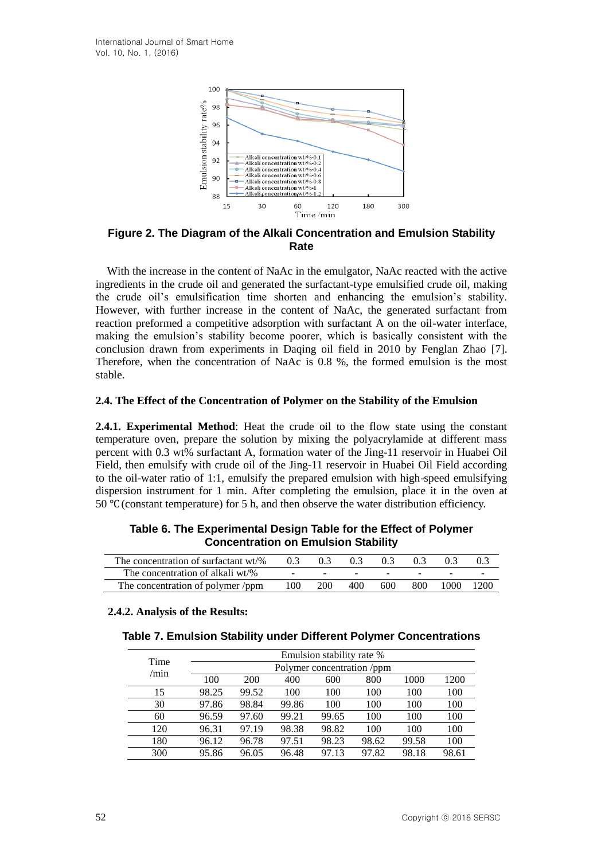

**Figure 2. The Diagram of the Alkali Concentration and Emulsion Stability Rate**

With the increase in the content of NaAc in the emulgator, NaAc reacted with the active ingredients in the crude oil and generated the surfactant-type emulsified crude oil, making the crude oil's emulsification time shorten and enhancing the emulsion's stability. However, with further increase in the content of NaAc, the generated surfactant from reaction preformed a competitive adsorption with surfactant A on the oil-water interface, making the emulsion's stability become poorer, which is basically consistent with the conclusion drawn from experiments in Daqing oil field in 2010 by Fenglan Zhao [7]. Therefore, when the concentration of NaAc is 0.8 %, the formed emulsion is the most stable.

#### **2.4. The Effect of the Concentration of Polymer on the Stability of the Emulsion**

**2.4.1. Experimental Method**: Heat the crude oil to the flow state using the constant temperature oven, prepare the solution by mixing the polyacrylamide at different mass percent with 0.3 wt% surfactant A, formation water of the Jing-11 reservoir in Huabei Oil Field, then emulsify with crude oil of the Jing-11 reservoir in Huabei Oil Field according to the oil-water ratio of 1:1, emulsify the prepared emulsion with high-speed emulsifying dispersion instrument for 1 min. After completing the emulsion, place it in the oven at 50 ℃(constant temperature) for 5 h, and then observe the water distribution efficiency.

| The concentration of surfactant wt/% | $0.3 -$ | 0.3 <sup>2</sup> | 0.3 | 0.3 <sup>2</sup> | 0.3 <sup>2</sup> | 0.3  | 0.3  |
|--------------------------------------|---------|------------------|-----|------------------|------------------|------|------|
| The concentration of alkali wt/%     |         |                  |     |                  |                  |      |      |
| The concentration of polymer /ppm    | 100     | <b>200</b>       | 400 | 600              | 800              | 1000 | 1200 |

## **Table 6. The Experimental Design Table for the Effect of Polymer Concentration on Emulsion Stability**

#### **2.4.2. Analysis of the Results:**

| Time |       |                            |       | Emulsion stability rate % |       |       |       |  |  |  |  |
|------|-------|----------------------------|-------|---------------------------|-------|-------|-------|--|--|--|--|
| /min |       | Polymer concentration /ppm |       |                           |       |       |       |  |  |  |  |
|      | 100   | <b>200</b>                 | 400   | 600                       | 800   | 1000  | 1200  |  |  |  |  |
| 15   | 98.25 | 99.52                      | 100   | 100                       | 100   | 100   | 100   |  |  |  |  |
| 30   | 97.86 | 98.84                      | 99.86 | 100                       | 100   | 100   | 100   |  |  |  |  |
| 60   | 96.59 | 97.60                      | 99.21 | 99.65                     | 100   | 100   | 100   |  |  |  |  |
| 120  | 96.31 | 97.19                      | 98.38 | 98.82                     | 100   | 100   | 100   |  |  |  |  |
| 180  | 96.12 | 96.78                      | 97.51 | 98.23                     | 98.62 | 99.58 | 100   |  |  |  |  |
| 300  | 95.86 | 96.05                      | 96.48 | 97.13                     | 97.82 | 98.18 | 98.61 |  |  |  |  |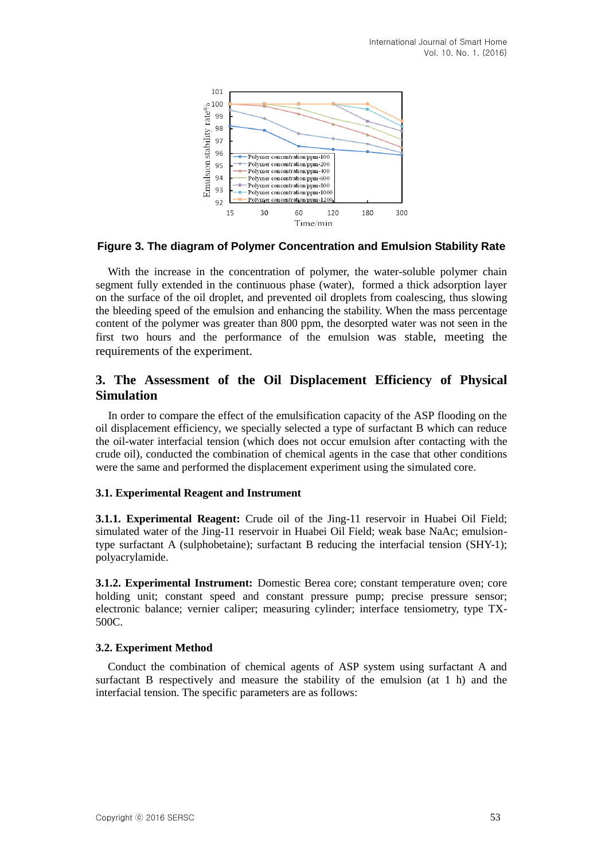

## **Figure 3. The diagram of Polymer Concentration and Emulsion Stability Rate**

With the increase in the concentration of polymer, the water-soluble polymer chain segment fully extended in the continuous phase (water), formed a thick adsorption layer on the surface of the oil droplet, and prevented oil droplets from coalescing, thus slowing the bleeding speed of the emulsion and enhancing the stability. When the mass percentage content of the polymer was greater than 800 ppm, the desorpted water was not seen in the first two hours and the performance of the emulsion was stable, meeting the requirements of the experiment.

## **3. The Assessment of the Oil Displacement Efficiency of Physical Simulation**

In order to compare the effect of the emulsification capacity of the ASP flooding on the oil displacement efficiency, we specially selected a type of surfactant B which can reduce the oil-water interfacial tension (which does not occur emulsion after contacting with the crude oil), conducted the combination of chemical agents in the case that other conditions were the same and performed the displacement experiment using the simulated core.

## **3.1. Experimental Reagent and Instrument**

**3.1.1. Experimental Reagent:** Crude oil of the Jing-11 reservoir in Huabei Oil Field; simulated water of the Jing-11 reservoir in Huabei Oil Field; weak base NaAc; emulsiontype surfactant A (sulphobetaine); surfactant B reducing the interfacial tension (SHY-1); polyacrylamide.

**3.1.2. Experimental Instrument:** Domestic Berea core; constant temperature oven; core holding unit; constant speed and constant pressure pump; precise pressure sensor; electronic balance; vernier caliper; measuring cylinder; interface tensiometry, type TX-500C.

#### **3.2. Experiment Method**

Conduct the combination of chemical agents of ASP system using surfactant A and surfactant B respectively and measure the stability of the emulsion (at 1 h) and the interfacial tension. The specific parameters are as follows: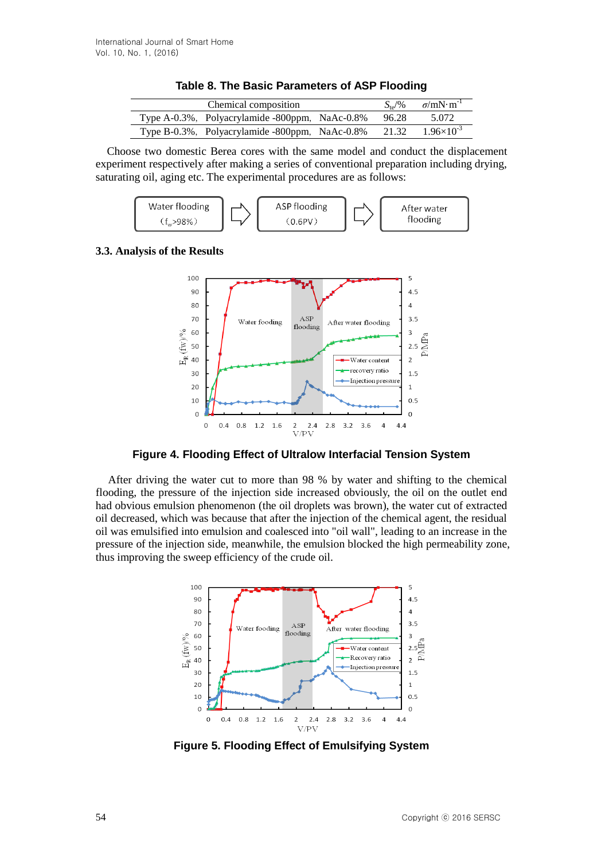| Chemical composition                           |       | $S_{\text{te}}/96$ $\sigma/mN \cdot m^{-1}$ |
|------------------------------------------------|-------|---------------------------------------------|
| Type A-0.3%, Polyacrylamide -800ppm, NaAc-0.8% | 96.28 | 5.072                                       |
| Type B-0.3%, Polyacrylamide -800ppm, NaAc-0.8% | 21.32 | $1.96\times10^{-3}$                         |

|  |  |  | Table 8. The Basic Parameters of ASP Flooding |  |  |  |  |
|--|--|--|-----------------------------------------------|--|--|--|--|
|--|--|--|-----------------------------------------------|--|--|--|--|

Choose two domestic Berea cores with the same model and conduct the displacement experiment respectively after making a series of conventional preparation including drying, saturating oil, aging etc. The experimental procedures are as follows:



## **3.3. Analysis of the Results**



**Figure 4. Flooding Effect of Ultralow Interfacial Tension System**

After driving the water cut to more than 98 % by water and shifting to the chemical flooding, the pressure of the injection side increased obviously, the oil on the outlet end had obvious emulsion phenomenon (the oil droplets was brown), the water cut of extracted oil decreased, which was because that after the injection of the chemical agent, the residual oil was emulsified into emulsion and coalesced into "oil wall", leading to an increase in the pressure of the injection side, meanwhile, the emulsion blocked the high permeability zone, thus improving the sweep efficiency of the crude oil.



**Figure 5. Flooding Effect of Emulsifying System**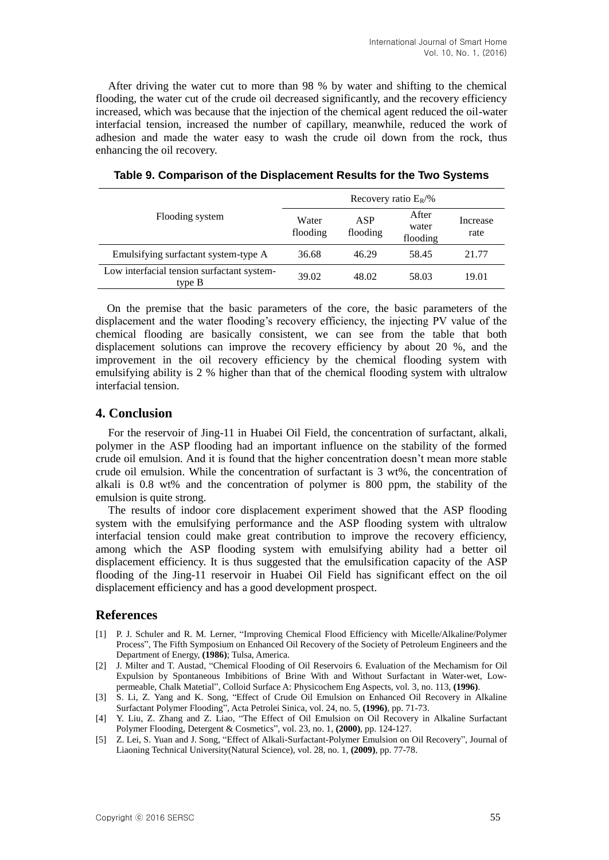After driving the water cut to more than 98 % by water and shifting to the chemical flooding, the water cut of the crude oil decreased significantly, and the recovery efficiency increased, which was because that the injection of the chemical agent reduced the oil-water interfacial tension, increased the number of capillary, meanwhile, reduced the work of adhesion and made the water easy to wash the crude oil down from the rock, thus enhancing the oil recovery.

|                                                      | Recovery ratio $E_R/\%$ |                 |                            |                  |  |  |  |
|------------------------------------------------------|-------------------------|-----------------|----------------------------|------------------|--|--|--|
| Flooding system                                      | Water<br>flooding       | ASP<br>flooding | After<br>water<br>flooding | Increase<br>rate |  |  |  |
| Emulsifying surfactant system-type A                 | 36.68                   | 46.29           | 58.45                      | 21.77            |  |  |  |
| Low interfacial tension surfactant system-<br>type B | 39.02                   | 48.02           | 58.03                      | 19.01            |  |  |  |

**Table 9. Comparison of the Displacement Results for the Two Systems**

On the premise that the basic parameters of the core, the basic parameters of the displacement and the water flooding's recovery efficiency, the injecting PV value of the chemical flooding are basically consistent, we can see from the table that both displacement solutions can improve the recovery efficiency by about 20 %, and the improvement in the oil recovery efficiency by the chemical flooding system with emulsifying ability is 2 % higher than that of the chemical flooding system with ultralow interfacial tension.

## **4. Conclusion**

For the reservoir of Jing-11 in Huabei Oil Field, the concentration of surfactant, alkali, polymer in the ASP flooding had an important influence on the stability of the formed crude oil emulsion. And it is found that the higher concentration doesn't mean more stable crude oil emulsion. While the concentration of surfactant is 3 wt%, the concentration of alkali is 0.8 wt% and the concentration of polymer is 800 ppm, the stability of the emulsion is quite strong.

The results of indoor core displacement experiment showed that the ASP flooding system with the emulsifying performance and the ASP flooding system with ultralow interfacial tension could make great contribution to improve the recovery efficiency, among which the ASP flooding system with emulsifying ability had a better oil displacement efficiency. It is thus suggested that the emulsification capacity of the ASP flooding of the Jing-11 reservoir in Huabei Oil Field has significant effect on the oil displacement efficiency and has a good development prospect.

## **References**

- [1] P. J. Schuler and R. M. Lerner, "Improving Chemical Flood Efficiency with Micelle/Alkaline/Polymer Process", The Fifth Symposium on Enhanced Oil Recovery of the Society of Petroleum Engineers and the Department of Energy, **(1986)**; Tulsa, America.
- [2] J. Milter and T. Austad, "Chemical Flooding of Oil Reservoirs 6. Evaluation of the Mechamism for Oil Expulsion by Spontaneous Imbibitions of Brine With and Without Surfactant in Water-wet, Lowpermeable, Chalk Matetial", Colloid Surface A: Physicochem Eng Aspects, vol. 3, no. 113, **(1996)**.
- [3] S. Li, Z. Yang and K. Song, "Effect of Crude Oil Emulsion on Enhanced Oil Recovery in Alkaline Surfactant Polymer Flooding", Acta Petrolei Sinica, vol. 24, no. 5, **(1996)**, pp. 71-73.
- [4] Y. Liu, Z. Zhang and Z. Liao, "The Effect of Oil Emulsion on Oil Recovery in Alkaline Surfactant Polymer Flooding, Detergent & Cosmetics", vol. 23, no. 1, **(2000)**, pp. 124-127.
- [5] Z. Lei, S. Yuan and J. Song, "Effect of Alkali-Surfactant-Polymer Emulsion on Oil Recovery", Journal of Liaoning Technical University(Natural Science), vol. 28, no. 1, **(2009)**, pp. 77-78.